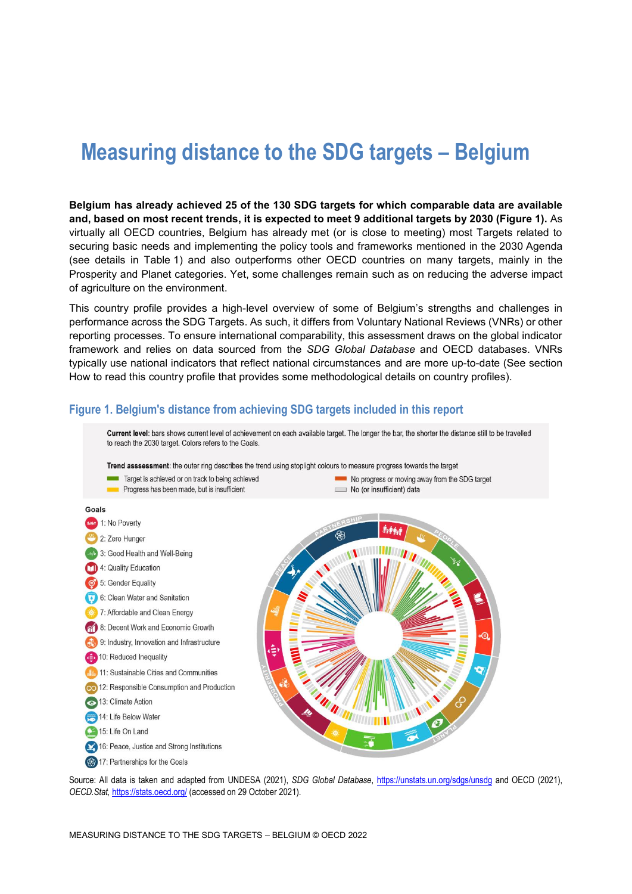# **Measuring distance to the SDG targets – Belgium**

**Belgium has already achieved 25 of the 130 SDG targets for which comparable data are available and, based on most recent trends, it is expected to meet 9 additional targets by 2030 [\(Figure](#page-0-0) 1).** As virtually all OECD countries, Belgium has already met (or is close to meeting) most Targets related to securing basic needs and implementing the policy tools and frameworks mentioned in the 2030 Agenda (see details in [Table](#page-3-0) 1) and also outperforms other OECD countries on many targets, mainly in the Prosperity and Planet categories. Yet, some challenges remain such as on reducing the adverse impact of agriculture on the environment.

This country profile provides a high-level overview of some of Belgium's strengths and challenges in performance across the SDG Targets. As such, it differs from Voluntary National Reviews (VNRs) or other reporting processes. To ensure international comparability, this assessment draws on the global indicator framework and relies on data sourced from the *SDG Global Database* and OECD databases. VNRs typically use national indicators that reflect national circumstances and are more up-to-date (See section [How to read this](#page-7-0) country profile that provides some methodological details on country profiles).



<span id="page-0-0"></span>**Figure 1. Belgium's distance from achieving SDG targets included in this report**

Source: All data is taken and adapted from UNDESA (2021), *SDG Global Database*,<https://unstats.un.org/sdgs/unsdg> and OECD (2021), *OECD.Stat,* <https://stats.oecd.org/> (accessed on 29 October 2021).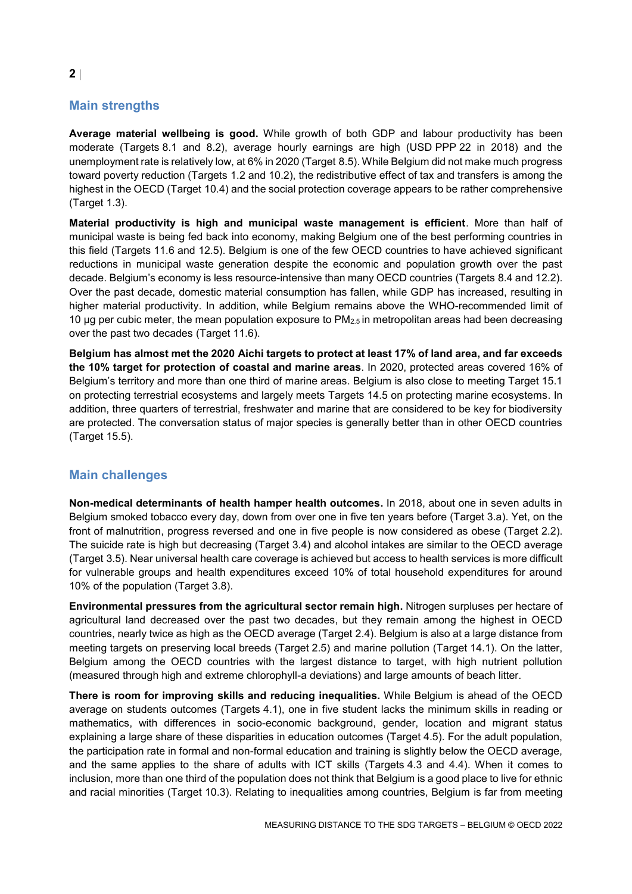### **Main strengths**

**Average material wellbeing is good.** While growth of both GDP and labour productivity has been moderate (Targets 8.1 and 8.2), average hourly earnings are high (USD PPP 22 in 2018) and the unemployment rate is relatively low, at 6% in 2020 (Target 8.5). While Belgium did not make much progress toward poverty reduction (Targets 1.2 and 10.2), the redistributive effect of tax and transfers is among the highest in the OECD (Target 10.4) and the social protection coverage appears to be rather comprehensive (Target 1.3).

**Material productivity is high and municipal waste management is efficient**. More than half of municipal waste is being fed back into economy, making Belgium one of the best performing countries in this field (Targets 11.6 and 12.5). Belgium is one of the few OECD countries to have achieved significant reductions in municipal waste generation despite the economic and population growth over the past decade. Belgium's economy is less resource-intensive than many OECD countries (Targets 8.4 and 12.2). Over the past decade, domestic material consumption has fallen, while GDP has increased, resulting in higher material productivity. In addition, while Belgium remains above the WHO-recommended limit of 10 µg per cubic meter, the mean population exposure to  $PM_{2.5}$  in metropolitan areas had been decreasing over the past two decades (Target 11.6).

**Belgium has almost met the 2020 Aichi targets to protect at least 17% of land area, and far exceeds the 10% target for protection of coastal and marine areas**. In 2020, protected areas covered 16% of Belgium's territory and more than one third of marine areas. Belgium is also close to meeting Target 15.1 on protecting terrestrial ecosystems and largely meets Targets 14.5 on protecting marine ecosystems. In addition, three quarters of terrestrial, freshwater and marine that are considered to be key for biodiversity are protected. The conversation status of major species is generally better than in other OECD countries (Target 15.5).

#### **Main challenges**

**Non-medical determinants of health hamper health outcomes.** In 2018, about one in seven adults in Belgium smoked tobacco every day, down from over one in five ten years before (Target 3.a). Yet, on the front of malnutrition, progress reversed and one in five people is now considered as obese (Target 2.2). The suicide rate is high but decreasing (Target 3.4) and alcohol intakes are similar to the OECD average (Target 3.5). Near universal health care coverage is achieved but access to health services is more difficult for vulnerable groups and health expenditures exceed 10% of total household expenditures for around 10% of the population (Target 3.8).

**Environmental pressures from the agricultural sector remain high.** Nitrogen surpluses per hectare of agricultural land decreased over the past two decades, but they remain among the highest in OECD countries, nearly twice as high as the OECD average (Target 2.4). Belgium is also at a large distance from meeting targets on preserving local breeds (Target 2.5) and marine pollution (Target 14.1). On the latter, Belgium among the OECD countries with the largest distance to target, with high nutrient pollution (measured through high and extreme chlorophyll-a deviations) and large amounts of beach litter.

**There is room for improving skills and reducing inequalities.** While Belgium is ahead of the OECD average on students outcomes (Targets 4.1), one in five student lacks the minimum skills in reading or mathematics, with differences in socio-economic background, gender, location and migrant status explaining a large share of these disparities in education outcomes (Target 4.5). For the adult population, the participation rate in formal and non-formal education and training is slightly below the OECD average, and the same applies to the share of adults with ICT skills (Targets 4.3 and 4.4). When it comes to inclusion, more than one third of the population does not think that Belgium is a good place to live for ethnic and racial minorities (Target 10.3). Relating to inequalities among countries, Belgium is far from meeting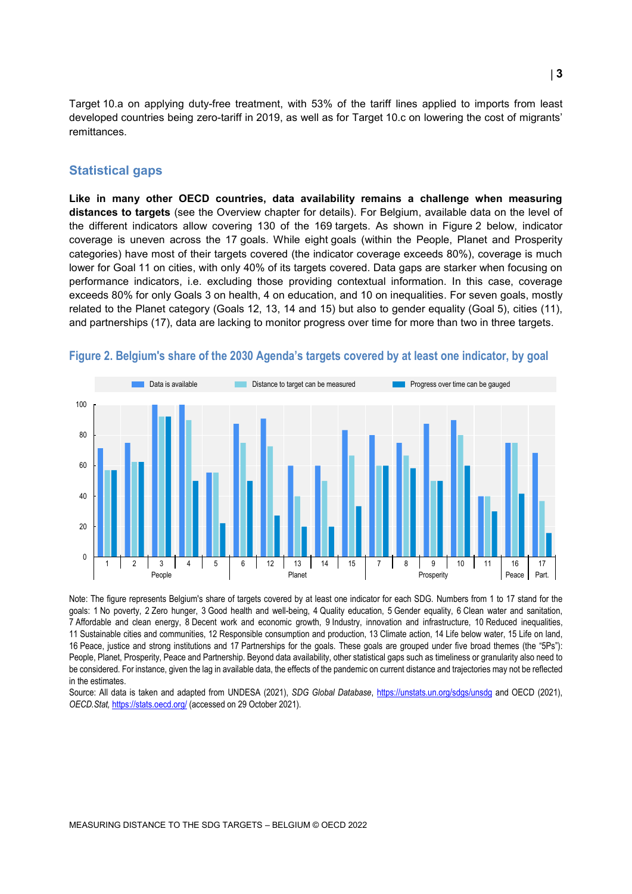Target 10.a on applying duty-free treatment, with 53% of the tariff lines applied to imports from least developed countries being zero-tariff in 2019, as well as for Target 10.c on lowering the cost of migrants' remittances.

#### **Statistical gaps**

**Like in many other OECD countries, data availability remains a challenge when measuring distances to targets** (see the Overview chapter for details). For Belgium, available data on the level of the different indicators allow covering 130 of the 169 targets. As shown in [Figure](#page-2-0) 2 below, indicator coverage is uneven across the 17 goals. While eight goals (within the People, Planet and Prosperity categories) have most of their targets covered (the indicator coverage exceeds 80%), coverage is much lower for Goal 11 on cities, with only 40% of its targets covered. Data gaps are starker when focusing on performance indicators, i.e. excluding those providing contextual information. In this case, coverage exceeds 80% for only Goals 3 on health, 4 on education, and 10 on inequalities. For seven goals, mostly related to the Planet category (Goals 12, 13, 14 and 15) but also to gender equality (Goal 5), cities (11), and partnerships (17), data are lacking to monitor progress over time for more than two in three targets.



#### <span id="page-2-0"></span>**Figure 2. Belgium's share of the 2030 Agenda's targets covered by at least one indicator, by goal**

Note: The figure represents Belgium's share of targets covered by at least one indicator for each SDG. Numbers from 1 to 17 stand for the goals: 1 No poverty, 2 Zero hunger, 3 Good health and well-being, 4 Quality education, 5 Gender equality, 6 Clean water and sanitation, 7 Affordable and clean energy, 8 Decent work and economic growth, 9 Industry, innovation and infrastructure, 10 Reduced inequalities, 11 Sustainable cities and communities, 12 Responsible consumption and production, 13 Climate action, 14 Life below water, 15 Life on land, 16 Peace, justice and strong institutions and 17 Partnerships for the goals. These goals are grouped under five broad themes (the "5Ps"): People, Planet, Prosperity, Peace and Partnership. Beyond data availability, other statistical gaps such as timeliness or granularity also need to be considered. For instance, given the lag in available data, the effects of the pandemic on current distance and trajectories may not be reflected in the estimates.

Source: All data is taken and adapted from UNDESA (2021), *SDG Global Database*,<https://unstats.un.org/sdgs/unsdg> and OECD (2021), *OECD.Stat,* <https://stats.oecd.org/> (accessed on 29 October 2021).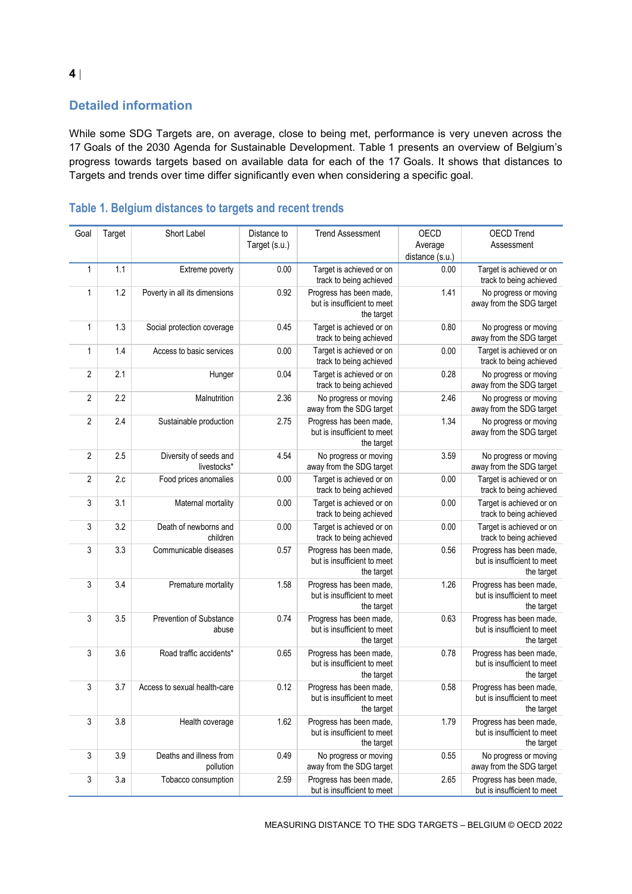### **Detailed information**

While some SDG Targets are, on average, close to being met, performance is very uneven across the 17 Goals of the 2030 Agenda for Sustainable Development. [Table](#page-3-0) 1 presents an overview of Belgium's progress towards targets based on available data for each of the 17 Goals. It shows that distances to Targets and trends over time differ significantly even when considering a specific goal.

| Goal           | Target | Short Label                           | Distance to<br>Target (s.u.) | <b>Trend Assessment</b>                                              | OECD<br>Average<br>distance (s.u.) | <b>OECD Trend</b><br>Assessment                                      |
|----------------|--------|---------------------------------------|------------------------------|----------------------------------------------------------------------|------------------------------------|----------------------------------------------------------------------|
| 1              | 1.1    | Extreme poverty                       | 0.00                         | Target is achieved or on<br>track to being achieved                  | 0.00                               | Target is achieved or on<br>track to being achieved                  |
| $\mathbf{1}$   | 1.2    | Poverty in all its dimensions         | 0.92                         | Progress has been made,<br>but is insufficient to meet<br>the target | 1.41                               | No progress or moving<br>away from the SDG target                    |
| $\mathbf{1}$   | 1.3    | Social protection coverage            | 0.45                         | Target is achieved or on<br>track to being achieved                  | 0.80                               | No progress or moving<br>away from the SDG target                    |
| $\mathbf{1}$   | 1.4    | Access to basic services              | 0.00                         | Target is achieved or on<br>track to being achieved                  | 0.00                               | Target is achieved or on<br>track to being achieved                  |
| $\overline{2}$ | 2.1    | Hunger                                | 0.04                         | Target is achieved or on<br>track to being achieved                  | 0.28                               | No progress or moving<br>away from the SDG target                    |
| $\sqrt{2}$     | 2.2    | Malnutrition                          | 2.36                         | No progress or moving<br>away from the SDG target                    | 2.46                               | No progress or moving<br>away from the SDG target                    |
| $\overline{2}$ | 2.4    | Sustainable production                | 2.75                         | Progress has been made,<br>but is insufficient to meet<br>the target | 1.34                               | No progress or moving<br>away from the SDG target                    |
| $\overline{2}$ | 2.5    | Diversity of seeds and<br>livestocks* | 4.54                         | No progress or moving<br>away from the SDG target                    | 3.59                               | No progress or moving<br>away from the SDG target                    |
| $\overline{2}$ | 2.c    | Food prices anomalies                 | 0.00                         | Target is achieved or on<br>track to being achieved                  | 0.00                               | Target is achieved or on<br>track to being achieved                  |
| 3              | 3.1    | Maternal mortality                    | 0.00                         | Target is achieved or on<br>track to being achieved                  | 0.00                               | Target is achieved or on<br>track to being achieved                  |
| 3              | 3.2    | Death of newborns and<br>children     | 0.00                         | Target is achieved or on<br>track to being achieved                  | 0.00                               | Target is achieved or on<br>track to being achieved                  |
| 3              | 3.3    | Communicable diseases                 | 0.57                         | Progress has been made,<br>but is insufficient to meet<br>the target | 0.56                               | Progress has been made,<br>but is insufficient to meet<br>the target |
| 3              | 3.4    | Premature mortality                   | 1.58                         | Progress has been made,<br>but is insufficient to meet<br>the target | 1.26                               | Progress has been made,<br>but is insufficient to meet<br>the target |
| 3              | 3.5    | Prevention of Substance<br>abuse      | 0.74                         | Progress has been made,<br>but is insufficient to meet<br>the target | 0.63                               | Progress has been made,<br>but is insufficient to meet<br>the target |
| 3              | 3.6    | Road traffic accidents*               | 0.65                         | Progress has been made,<br>but is insufficient to meet<br>the target | 0.78                               | Progress has been made,<br>but is insufficient to meet<br>the target |
| 3              | 3.7    | Access to sexual health-care          | 0.12                         | Progress has been made,<br>but is insufficient to meet<br>the target | 0.58                               | Progress has been made,<br>but is insufficient to meet<br>the target |
| 3              | 3.8    | Health coverage                       | 1.62                         | Progress has been made,<br>but is insufficient to meet<br>the target | 1.79                               | Progress has been made,<br>but is insufficient to meet<br>the target |
| 3              | 3.9    | Deaths and illness from<br>pollution  | 0.49                         | No progress or moving<br>away from the SDG target                    | 0.55                               | No progress or moving<br>away from the SDG target                    |
| $\sqrt{3}$     | 3.a    | Tobacco consumption                   | 2.59                         | Progress has been made,<br>but is insufficient to meet               | 2.65                               | Progress has been made,<br>but is insufficient to meet               |

## <span id="page-3-0"></span>**Table 1. Belgium distances to targets and recent trends**

MEASURING DISTANCE TO THE SDG TARGETS – BELGIUM © OECD 2022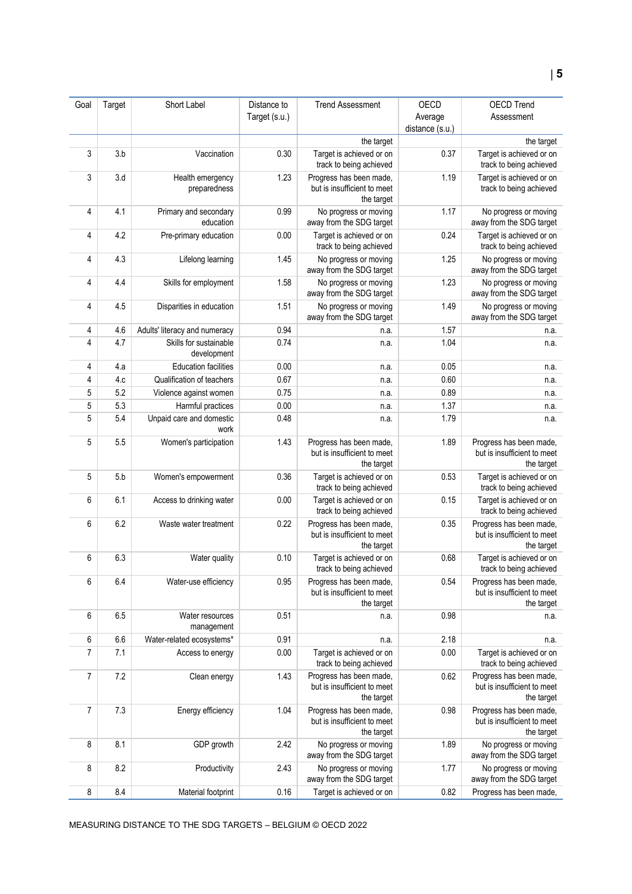| Goal           | Target | Short Label                           | Distance to   | <b>Trend Assessment</b>                                              | OECD            | <b>OECD Trend</b>                                                    |
|----------------|--------|---------------------------------------|---------------|----------------------------------------------------------------------|-----------------|----------------------------------------------------------------------|
|                |        |                                       | Target (s.u.) |                                                                      | Average         | Assessment                                                           |
|                |        |                                       |               |                                                                      | distance (s.u.) |                                                                      |
|                |        |                                       |               | the target                                                           |                 | the target                                                           |
| 3              | 3.b    | Vaccination                           | 0.30          | Target is achieved or on<br>track to being achieved                  | 0.37            | Target is achieved or on<br>track to being achieved                  |
| 3              | 3.d    | Health emergency<br>preparedness      | 1.23          | Progress has been made,<br>but is insufficient to meet<br>the target | 1.19            | Target is achieved or on<br>track to being achieved                  |
| 4              | 4.1    | Primary and secondary<br>education    | 0.99          | No progress or moving<br>away from the SDG target                    | 1.17            | No progress or moving<br>away from the SDG target                    |
| 4              | 4.2    | Pre-primary education                 | 0.00          | Target is achieved or on<br>track to being achieved                  | 0.24            | Target is achieved or on<br>track to being achieved                  |
| 4              | 4.3    | Lifelong learning                     | 1.45          | No progress or moving<br>away from the SDG target                    | 1.25            | No progress or moving<br>away from the SDG target                    |
| 4              | 4.4    | Skills for employment                 | 1.58          | No progress or moving<br>away from the SDG target                    | 1.23            | No progress or moving<br>away from the SDG target                    |
| 4              | 4.5    | Disparities in education              | 1.51          | No progress or moving<br>away from the SDG target                    | 1.49            | No progress or moving<br>away from the SDG target                    |
| 4              | 4.6    | Adults' literacy and numeracy         | 0.94          | n.a.                                                                 | 1.57            | n.a.                                                                 |
| 4              | 4.7    | Skills for sustainable<br>development | 0.74          | n.a.                                                                 | 1.04            | n.a.                                                                 |
| 4              | 4.a    | <b>Education facilities</b>           | 0.00          | n.a.                                                                 | 0.05            | n.a.                                                                 |
| 4              | 4.c    | Qualification of teachers             | 0.67          | n.a.                                                                 | 0.60            | n.a.                                                                 |
| 5              | 5.2    | Violence against women                | 0.75          | n.a.                                                                 | 0.89            | n.a.                                                                 |
| 5              | 5.3    | Harmful practices                     | 0.00          | n.a.                                                                 | 1.37            | n.a.                                                                 |
| 5              | 5.4    | Unpaid care and domestic<br>work      | 0.48          | n.a.                                                                 | 1.79            | n.a.                                                                 |
| 5              | 5.5    | Women's participation                 | 1.43          | Progress has been made,<br>but is insufficient to meet<br>the target | 1.89            | Progress has been made,<br>but is insufficient to meet<br>the target |
| 5              | 5.b    | Women's empowerment                   | 0.36          | Target is achieved or on<br>track to being achieved                  | 0.53            | Target is achieved or on<br>track to being achieved                  |
| 6              | 6.1    | Access to drinking water              | 0.00          | Target is achieved or on<br>track to being achieved                  | 0.15            | Target is achieved or on<br>track to being achieved                  |
| 6              | 6.2    | Waste water treatment                 | 0.22          | Progress has been made,<br>but is insufficient to meet<br>the target | 0.35            | Progress has been made,<br>but is insufficient to meet<br>the target |
| 6              | 6.3    | Water quality                         | 0.10          | Target is achieved or on<br>track to being achieved                  | 0.68            | Target is achieved or on<br>track to being achieved                  |
| 6              | 6.4    | Water-use efficiency                  | 0.95          | Progress has been made,<br>but is insufficient to meet<br>the target | 0.54            | Progress has been made,<br>but is insufficient to meet<br>the target |
| 6              | 6.5    | Water resources<br>management         | 0.51          | n.a.                                                                 | 0.98            | n.a.                                                                 |
| 6              | 6.6    | Water-related ecosystems*             | 0.91          | n.a.                                                                 | 2.18            | n.a.                                                                 |
| $\overline{7}$ | 7.1    | Access to energy                      | 0.00          | Target is achieved or on<br>track to being achieved                  | 0.00            | Target is achieved or on<br>track to being achieved                  |
| 7              | 7.2    | Clean energy                          | 1.43          | Progress has been made,<br>but is insufficient to meet<br>the target | 0.62            | Progress has been made,<br>but is insufficient to meet<br>the target |
| 7              | 7.3    | Energy efficiency                     | 1.04          | Progress has been made,<br>but is insufficient to meet<br>the target | 0.98            | Progress has been made,<br>but is insufficient to meet<br>the target |
| 8              | 8.1    | GDP growth                            | 2.42          | No progress or moving<br>away from the SDG target                    | 1.89            | No progress or moving<br>away from the SDG target                    |
| 8              | 8.2    | Productivity                          | 2.43          | No progress or moving<br>away from the SDG target                    | 1.77            | No progress or moving<br>away from the SDG target                    |
| 8              | 8.4    | Material footprint                    | 0.16          | Target is achieved or on                                             | 0.82            | Progress has been made,                                              |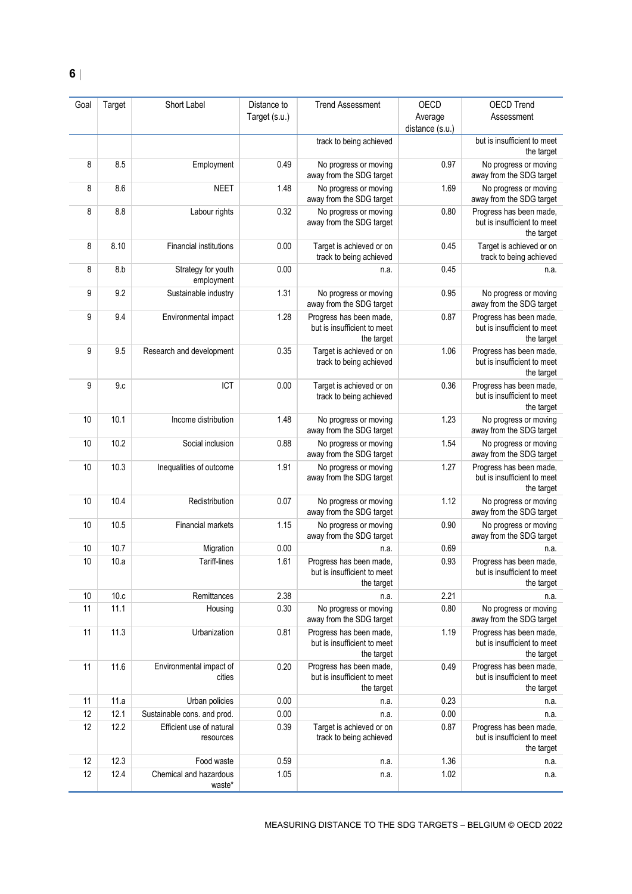| Goal | Target | Short Label                           | Distance to   | <b>Trend Assessment</b>                                              | OECD            | <b>OECD Trend</b>                                                    |
|------|--------|---------------------------------------|---------------|----------------------------------------------------------------------|-----------------|----------------------------------------------------------------------|
|      |        |                                       | Target (s.u.) |                                                                      | Average         | Assessment                                                           |
|      |        |                                       |               |                                                                      | distance (s.u.) |                                                                      |
|      |        |                                       |               | track to being achieved                                              |                 | but is insufficient to meet<br>the target                            |
| 8    | 8.5    | Employment                            | 0.49          | No progress or moving<br>away from the SDG target                    | 0.97            | No progress or moving<br>away from the SDG target                    |
| 8    | 8.6    | <b>NEET</b>                           | 1.48          | No progress or moving<br>away from the SDG target                    | 1.69            | No progress or moving<br>away from the SDG target                    |
| 8    | 8.8    | Labour rights                         | 0.32          | No progress or moving<br>away from the SDG target                    | 0.80            | Progress has been made,<br>but is insufficient to meet<br>the target |
| 8    | 8.10   | <b>Financial institutions</b>         | 0.00          | Target is achieved or on<br>track to being achieved                  | 0.45            | Target is achieved or on<br>track to being achieved                  |
| 8    | 8.b    | Strategy for youth<br>employment      | 0.00          | n.a.                                                                 | 0.45            | n.a.                                                                 |
| 9    | 9.2    | Sustainable industry                  | 1.31          | No progress or moving<br>away from the SDG target                    | 0.95            | No progress or moving<br>away from the SDG target                    |
| 9    | 9.4    | Environmental impact                  | 1.28          | Progress has been made,<br>but is insufficient to meet<br>the target | 0.87            | Progress has been made,<br>but is insufficient to meet<br>the target |
| 9    | 9.5    | Research and development              | 0.35          | Target is achieved or on<br>track to being achieved                  | 1.06            | Progress has been made,<br>but is insufficient to meet<br>the target |
| 9    | 9.c    | ICT                                   | 0.00          | Target is achieved or on<br>track to being achieved                  | 0.36            | Progress has been made,<br>but is insufficient to meet<br>the target |
| 10   | 10.1   | Income distribution                   | 1.48          | No progress or moving<br>away from the SDG target                    | 1.23            | No progress or moving<br>away from the SDG target                    |
| 10   | 10.2   | Social inclusion                      | 0.88          | No progress or moving<br>away from the SDG target                    | 1.54            | No progress or moving<br>away from the SDG target                    |
| 10   | 10.3   | Inequalities of outcome               | 1.91          | No progress or moving<br>away from the SDG target                    | 1.27            | Progress has been made,<br>but is insufficient to meet<br>the target |
| 10   | 10.4   | Redistribution                        | 0.07          | No progress or moving<br>away from the SDG target                    | 1.12            | No progress or moving<br>away from the SDG target                    |
| 10   | 10.5   | Financial markets                     | 1.15          | No progress or moving<br>away from the SDG target                    | 0.90            | No progress or moving<br>away from the SDG target                    |
| 10   | 10.7   | Migration                             | 0.00          | n.a.                                                                 | 0.69            | n.a.                                                                 |
| 10   | 10.a   | Tariff-lines                          | 1.61          | Progress has been made,<br>but is insufficient to meet<br>the target | 0.93            | Progress has been made,<br>but is insufficient to meet<br>the target |
| 10   | 10.c   | Remittances                           | 2.38          | n.a.                                                                 | 2.21            | n.a.                                                                 |
| 11   | 11.1   | Housing                               | 0.30          | No progress or moving<br>away from the SDG target                    | 0.80            | No progress or moving<br>away from the SDG target                    |
| 11   | 11.3   | Urbanization                          | 0.81          | Progress has been made,<br>but is insufficient to meet<br>the target | 1.19            | Progress has been made,<br>but is insufficient to meet<br>the target |
| 11   | 11.6   | Environmental impact of<br>cities     | 0.20          | Progress has been made,<br>but is insufficient to meet<br>the target | 0.49            | Progress has been made,<br>but is insufficient to meet<br>the target |
| 11   | 11.a   | Urban policies                        | 0.00          | n.a.                                                                 | 0.23            | n.a.                                                                 |
| 12   | 12.1   | Sustainable cons. and prod.           | 0.00          | n.a.                                                                 | 0.00            | n.a.                                                                 |
| 12   | 12.2   | Efficient use of natural<br>resources | 0.39          | Target is achieved or on<br>track to being achieved                  | 0.87            | Progress has been made,<br>but is insufficient to meet<br>the target |
| 12   | 12.3   | Food waste                            | 0.59          | n.a.                                                                 | 1.36            | n.a.                                                                 |
| 12   | 12.4   | Chemical and hazardous<br>waste*      | 1.05          | n.a.                                                                 | 1.02            | n.a.                                                                 |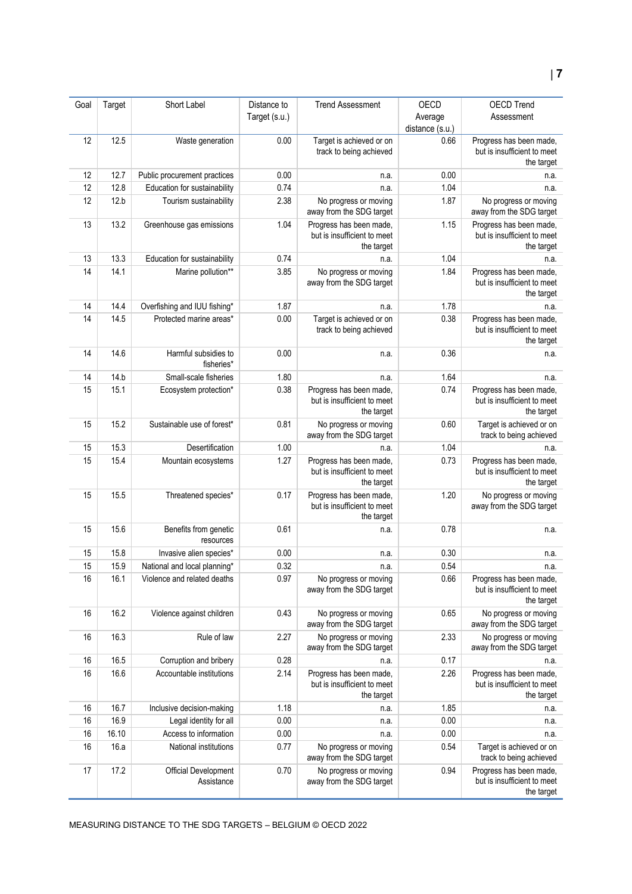#### Goal Target Short Label Distance to Target (s.u.) Trend Assessment OECD Average distance (s.u.) OECD Trend Assessment 12 12.5 Waste generation 0.00 Target is achieved or on track to being achieved 0.66 Progress has been made, but is insufficient to meet the target 12 12.7 Public procurement practices 0.00 n.a. n.a. 0.00 n.a. 12 12.8 Education for sustainability 0.74 n.a. n.a. 1.04 n.a. 12 12.b Tourism sustainability 2.38 No progress or moving away from the SDG target 1.87 No progress or moving away from the SDG target 13 13.2 Greenhouse gas emissions 1.04 Progress has been made but is insufficient to meet the target 1.15 Progress has been made, but is insufficient to meet the target 13 13.3 Education for sustainability 0.74 n.a. n.a. 1.04 n.a. 14 14.1 Marine pollution\*\* 3.85 No progress or moving away from the SDG target 1.84 Progress has been made, but is insufficient to meet the target 14 14.4 Overfishing and IUU fishing\* 1.87 1.87 n.a. 1.78 n.a. 14 14.5 Protected marine areas\* 0.00 Target is achieved or on track to being achieved 0.38 Progress has been made, but is insufficient to meet the target 14 14.6 Harmful subsidies to fisheries\* 0.00 n.a. 0.36 n.a. 14 14.b Small-scale fisheries 1.80 n.a. 1.64 n.a. 15 15.1 Ecosystem protection\* 0.38 Progress has been made, but is insufficient to meet the target 0.74 Progress has been made. but is insufficient to meet the target 15 15.2 Sustainable use of forest\* 0.81 No progress or moving away from the SDG target 0.60 Target is achieved or on track to being achieved 15.3 Desertification 1.00 n.a. 1.04 1.04 n.a. 15 15.4 Mountain ecosystems 1.27 Progress has been made but is insufficient to meet the target 0.73 Progress has been made. but is insufficient to meet the target 15 15.5 Threatened species\* 0.17 Progress has been made, but is insufficient to meet the target 1.20 No progress or moving away from the SDG target 15 15.6 Benefits from genetic resources 0.61 n.a. 0.78 n.a. 15 15.8 Invasive alien species\* 0.00 n.a. 0.30 n.a. 0.30 n.a. 15 15.9 National and local planning\* 0.32 n.a. n.a. 0.54 n.a. n.a. 16 16.1 Violence and related deaths 0.97 No progress or moving away from the SDG target 0.66 Progress has been made. but is insufficient to meet the target 16 16.2 Violence against children 1 0.43 No progress or moving away from the SDG target 0.65 No progress or moving away from the SDG target 16 16.3 Rule of law 2.27 No progress or moving away from the SDG target 2.33 No progress or moving away from the SDG target 16 16.5 Corruption and bribery 0.28 n.a. 0.17 n.a. 16 16.6 Accountable institutions 2.14 Progress has been made, but is insufficient to meet the target 2.26 Progress has been made, but is insufficient to meet the target 16 16.7 Inclusive decision-making 1.18 n.a. 1.85 n.a. 1.85 n.a. 16 16.9 Legal identity for all 0.00 n.a. 0.00 n.a. 16 16.10 Access to information 0.00 n.a. 0.00 n.a. 16 16.a National institutions 0.77 No progress or moving away from the SDG target 0.54 Target is achieved or on track to being achieved 17 17.2 Official Development **Assistance** 0.70 No progress or moving away from the SDG target 0.94 Progress has been made, but is insufficient to meet the target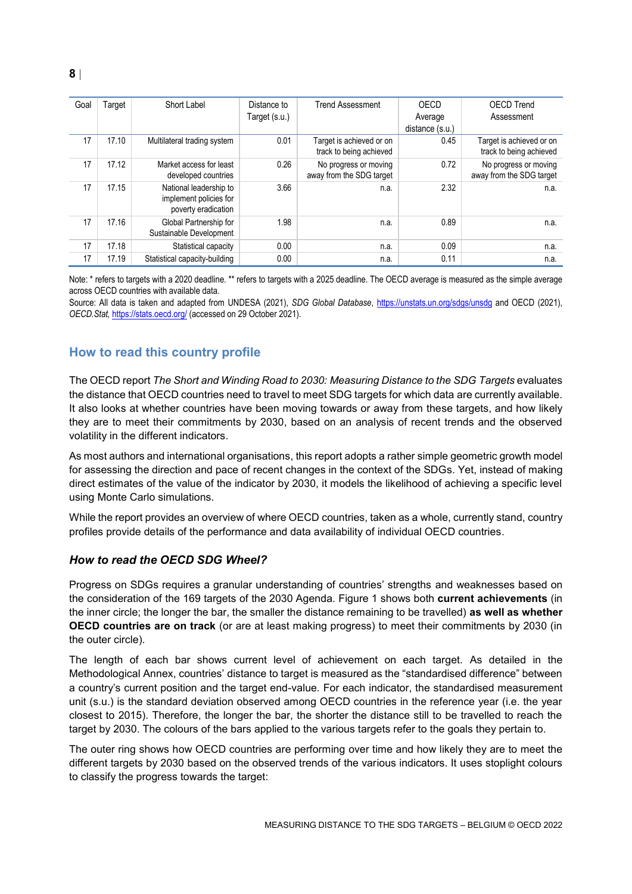| Goal | Target | Short Label                                                             | Distance to<br>Target (s.u.) | <b>Trend Assessment</b>                             | OECD<br>Average<br>distance (s.u.) | <b>OECD Trend</b><br>Assessment                     |
|------|--------|-------------------------------------------------------------------------|------------------------------|-----------------------------------------------------|------------------------------------|-----------------------------------------------------|
| 17   | 17.10  | Multilateral trading system                                             | 0.01                         | Target is achieved or on<br>track to being achieved | 0.45                               | Target is achieved or on<br>track to being achieved |
| 17   | 17.12  | Market access for least<br>developed countries                          | 0.26                         | No progress or moving<br>away from the SDG target   | 0.72                               | No progress or moving<br>away from the SDG target   |
| 17   | 17.15  | National leadership to<br>implement policies for<br>poverty eradication | 3.66                         | n.a.                                                | 2.32                               | n.a.                                                |
| 17   | 17.16  | Global Partnership for<br>Sustainable Development                       | 1.98                         | n.a.                                                | 0.89                               | n.a.                                                |
| 17   | 17.18  | Statistical capacity                                                    | 0.00                         | n.a.                                                | 0.09                               | n.a.                                                |
| 17   | 17.19  | Statistical capacity-building                                           | 0.00                         | n.a.                                                | 0.11                               | n.a.                                                |

Note: \* refers to targets with a 2020 deadline. \*\* refers to targets with a 2025 deadline. The OECD average is measured as the simple average across OECD countries with available data.

Source: All data is taken and adapted from UNDESA (2021), *SDG Global Database*,<https://unstats.un.org/sdgs/unsdg> and OECD (2021), *OECD.Stat,* <https://stats.oecd.org/> (accessed on 29 October 2021).

#### <span id="page-7-0"></span>**How to read this country profile**

The OECD report *The Short and Winding Road to 2030: Measuring Distance to the SDG Targets* evaluates the distance that OECD countries need to travel to meet SDG targets for which data are currently available. It also looks at whether countries have been moving towards or away from these targets, and how likely they are to meet their commitments by 2030, based on an analysis of recent trends and the observed volatility in the different indicators.

As most authors and international organisations, this report adopts a rather simple geometric growth model for assessing the direction and pace of recent changes in the context of the SDGs. Yet, instead of making direct estimates of the value of the indicator by 2030, it models the likelihood of achieving a specific level using Monte Carlo simulations.

While the report provides an overview of where OECD countries, taken as a whole, currently stand, country profiles provide details of the performance and data availability of individual OECD countries.

#### *How to read the OECD SDG Wheel?*

Progress on SDGs requires a granular understanding of countries' strengths and weaknesses based on the consideration of the 169 targets of the 2030 Agenda. [Figure](#page-0-0) 1 shows both **current achievements** (in the inner circle; the longer the bar, the smaller the distance remaining to be travelled) **as well as whether OECD countries are on track** (or are at least making progress) to meet their commitments by 2030 (in the outer circle).

The length of each bar shows current level of achievement on each target. As detailed in the Methodological Annex, countries' distance to target is measured as the "standardised difference" between a country's current position and the target end-value. For each indicator, the standardised measurement unit (s.u.) is the standard deviation observed among OECD countries in the reference year (i.e. the year closest to 2015). Therefore, the longer the bar, the shorter the distance still to be travelled to reach the target by 2030. The colours of the bars applied to the various targets refer to the goals they pertain to.

The outer ring shows how OECD countries are performing over time and how likely they are to meet the different targets by 2030 based on the observed trends of the various indicators. It uses stoplight colours to classify the progress towards the target: